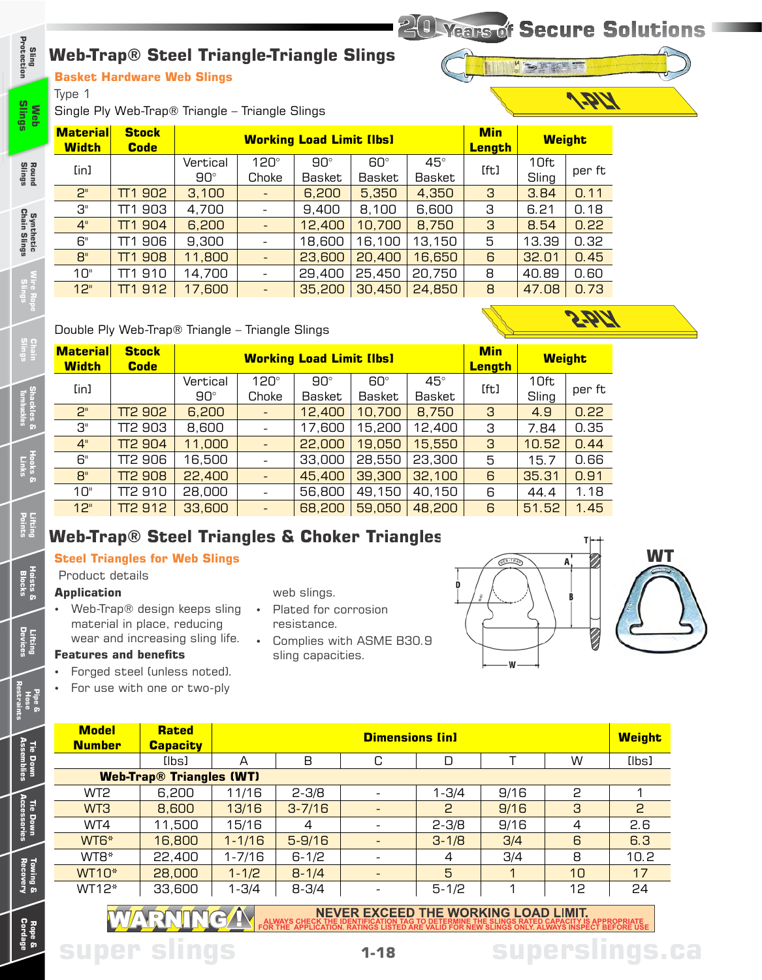## **Web-Trap® Steel Triangle-Triangle Slings**

**Basket Hardware Web Slings**

**Web**  Type 1

Single Ply Web-Trap® Triangle – Triangle Slings

 $\sqrt{D}$ 

**S 21/** 

| <b>Material</b><br><b>Width</b> | <b>Stock</b><br><b>Code</b> |            | <b>Working Load Limit [lbs]</b> | <b>Min</b><br>Length |            | <b>Weight</b> |      |       |        |
|---------------------------------|-----------------------------|------------|---------------------------------|----------------------|------------|---------------|------|-------|--------|
| [in]                            |                             | Vertical   |                                 | $90^\circ$           | $60^\circ$ | $45^\circ$    | [ft] | 10ft  |        |
|                                 |                             | $90^\circ$ | Choke                           | Basket               | Basket     | Basket        |      | Sling | per ft |
| 2"                              | TT1 902                     | 3,100      | $\overline{\phantom{a}}$        | 6,200                | 5,350      | 4,350         | 3    | 3.84  | 0.11   |
| З"                              | 903<br>TT 1                 | 4,700      | $\overline{\phantom{a}}$        | 9,400                | 8,100      | 6,600         | З    | 6.21  | 0.18   |
| 4"                              | TT1 904                     | 6,200      | $\overline{\phantom{a}}$        | 12,400               | 10,700     | 8,750         | 3    | 8.54  | 0.22   |
| 6"                              | TT1 906                     | 9,300      | $\overline{\phantom{a}}$        | 18,600               | 16,100     | 13,150        | 5    | 13.39 | 0.32   |
| 8"                              | 908<br>TT <sub>1</sub>      | 11,800     | $\overline{\phantom{a}}$        | 23,600               | 20,400     | 16,650        | 6    | 32.01 | 0.45   |
| 10"                             | 910<br>TT 1                 | 14,700     | $\overline{\phantom{a}}$        | 29,400               | 25,450     | 20,750        | 8    | 40.89 | 0.60   |
| 12"                             | TT1 912                     | 17,600     | $\qquad \qquad \blacksquare$    | 35,200               | 30,450     | 24,850        | 8    | 47.08 | 0.73   |

## Double Ply Web-Trap® Triangle – Triangle Slings

| <b>Material</b><br><b>Width</b>    | <b>Stock</b><br><b>Code</b> |            | <b>Working Load Limit [lbs]</b> | <b>Min</b><br><b>Length</b> |            | <b>Weight</b> |      |       |        |
|------------------------------------|-----------------------------|------------|---------------------------------|-----------------------------|------------|---------------|------|-------|--------|
| [in]                               |                             | Vertical   | $120^\circ$                     | $90^\circ$                  | $60^\circ$ | $45^\circ$    | [ft] | 10ft  | per ft |
|                                    |                             | $90^\circ$ | Choke                           | Basket                      | Basket     | Basket        |      | Sling |        |
| 2"                                 | TT2 902                     | 6,200      |                                 | 12,400                      | 10,700     | 8,750         | 3    | 4.9   | 0.22   |
| $B^{\scriptscriptstyle\mathsf{H}}$ | TT2 903                     | 8,600      |                                 | 17,600                      | 15,200     | 12,400        | 3    | 7.84  | 0.35   |
| 4"                                 | TT2 904                     | 11,000     |                                 | 22,000                      | 19,050     | 15,550        | 3    | 10.52 | 0.44   |
| 6"                                 | TT2 906                     | 16,500     |                                 | 33,000                      | 28,550     | 23,300        | 5    | 15.7  | 0.66   |
| $B^{\prime\prime}$                 | TT2 908                     | 22,400     |                                 | 45,400                      | 39,300     | 32,100        | 6    | 35.31 | 0.91   |
| 10"                                | TT2 910                     | 28,000     | -                               | 56,800                      | 49,150     | 40,150        | 6    | 44.4  | 1.18   |
| 12"                                | TT2 912                     | 33,600     |                                 | 68,200                      | 59,050     | 48,200        | 6    | 51.52 | 1.45   |

# **Web-Trap® Steel Triangles & Choker Triangles**

## **Steel Triangles for Web Slings**

Product details

### **Application**

• Web-Trap® design keeps sling material in place, reducing wear and increasing sling life.

### **Features and benefits**

- Forged steel (unless noted).
- For use with one or two-ply

web slings.

- Plated for corrosion resistance.
- Complies with ASME B30.9 sling capacities.





| <b>Model</b><br><b>Number</b>              | <b>Rated</b><br><b>Capacity</b> |            | <b>Dimensions [in]</b> |   |           |      |    |       |  |  |  |
|--------------------------------------------|---------------------------------|------------|------------------------|---|-----------|------|----|-------|--|--|--|
|                                            | [lbs]                           | A          | B                      | C | D         |      | W  | [lbs] |  |  |  |
| <b>Web-Trap<sup>®</sup> Triangles (WT)</b> |                                 |            |                        |   |           |      |    |       |  |  |  |
| WT <sub>2</sub>                            | 6,200                           | 11/16      | $2 - 3/8$              |   | $1 - 3/4$ | 9/16 | 2  |       |  |  |  |
| WT3                                        | 8,600                           | 13/16      | $3 - 7/16$             |   | 2         | 9/16 | 3  | 2     |  |  |  |
| WT4                                        | 11,500                          | 15/16      | 4                      |   | $2 - 3/8$ | 9/16 | 4  | 2.6   |  |  |  |
| WT6*                                       | 16,800                          | $1 - 1/16$ | $5 - 9/16$             |   | $3 - 1/8$ | 3/4  | 6  | 6.3   |  |  |  |
| WT8*                                       | 22,400                          | $1 - 7/16$ | $6 - 1/2$              |   | 4         | 3/4  | 8  | 10.2  |  |  |  |
| WT <sub>10</sub> *                         | 28,000                          | $1 - 1/2$  | $8 - 1/4$              |   | 5         |      | 10 | 17    |  |  |  |
| WT12*                                      | 33,600                          | $1 - 3/4$  | $8 - 3/4$              |   | $5 - 1/2$ |      | 12 | 24    |  |  |  |

**NEVER EXCEED THE WORKING LOAD LIMIT. FOR THE APPLICATION. RATINGS LISTED ARE VALID FOR NEW SLINGS ONLY. ALWAYS INSPECT BEFORE USE**

**Slings Slings Slings**

**Sling**<br>Protection **Protection**

**Slings**

**Turnbuckles**

**Chain Shackles &**

**Blocks**

**Devices Lifting** 

**Hooks & Links**

**Tie Down** 

**Tie Down Accessories**

**Cordage**